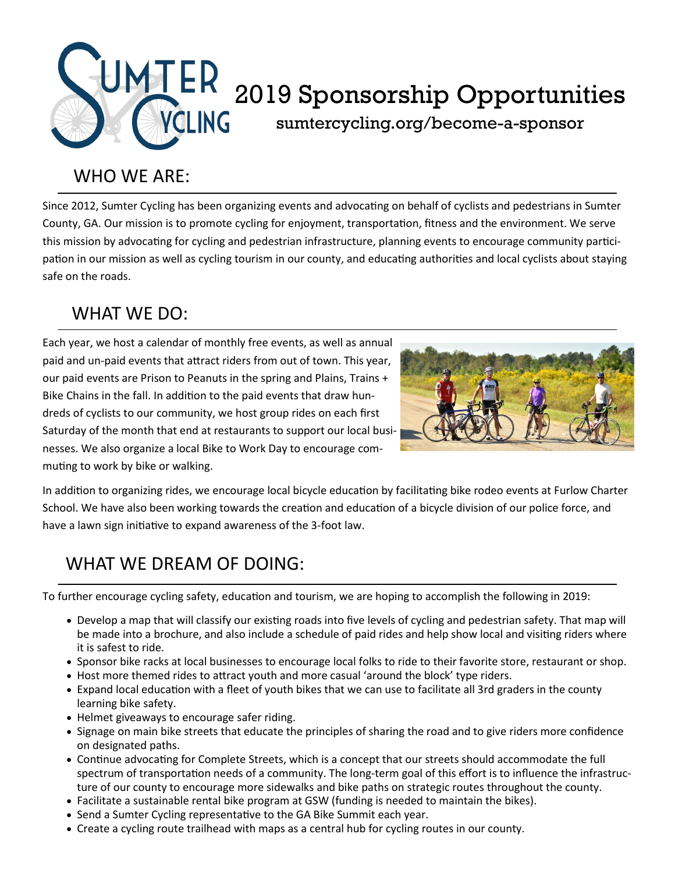

### WHO WE ARE:

Since 2012, Sumter Cycling has been organizing events and advocating on behalf of cyclists and pedestrians in Sumter County, GA. Our mission is to promote cycling for enjoyment, transportation, fitness and the environment. We serve this mission by advocating for cycling and pedestrian infrastructure, planning events to encourage community participation in our mission as well as cycling tourism in our county, and educating authorities and local cyclists about staying safe on the roads.

# WHAT WE DO:

Each year, we host a calendar of monthly free events, as well as annual paid and un-paid events that attract riders from out of town. This year, our paid events are Prison to Peanuts in the spring and Plains, Trains + Bike Chains in the fall. In addition to the paid events that draw hundreds of cyclists to our community, we host group rides on each first Saturday of the month that end at restaurants to support our local businesses. We also organize a local Bike to Work Day to encourage commuting to work by bike or walking.



In addition to organizing rides, we encourage local bicycle education by facilitating bike rodeo events at Furlow Charter School. We have also been working towards the creation and education of a bicycle division of our police force, and have a lawn sign initiative to expand awareness of the 3-foot law.

# WHAT WE DREAM OF DOING:

To further encourage cycling safety, education and tourism, we are hoping to accomplish the following in 2019:

- Develop a map that will classify our existing roads into five levels of cycling and pedestrian safety. That map will be made into a brochure, and also include a schedule of paid rides and help show local and visiting riders where it is safest to ride.
- Sponsor bike racks at local businesses to encourage local folks to ride to their favorite store, restaurant or shop.
- Host more themed rides to attract youth and more casual 'around the block' type riders.
- Expand local education with a fleet of youth bikes that we can use to facilitate all 3rd graders in the county learning bike safety.
- Helmet giveaways to encourage safer riding.
- Signage on main bike streets that educate the principles of sharing the road and to give riders more confidence on designated paths.
- Continue advocating for Complete Streets, which is a concept that our streets should accommodate the full spectrum of transportation needs of a community. The long-term goal of this effort is to influence the infrastructure of our county to encourage more sidewalks and bike paths on strategic routes throughout the county.
- Facilitate a sustainable rental bike program at GSW (funding is needed to maintain the bikes).
- Send a Sumter Cycling representative to the GA Bike Summit each year.
- Create a cycling route trailhead with maps as a central hub for cycling routes in our county.